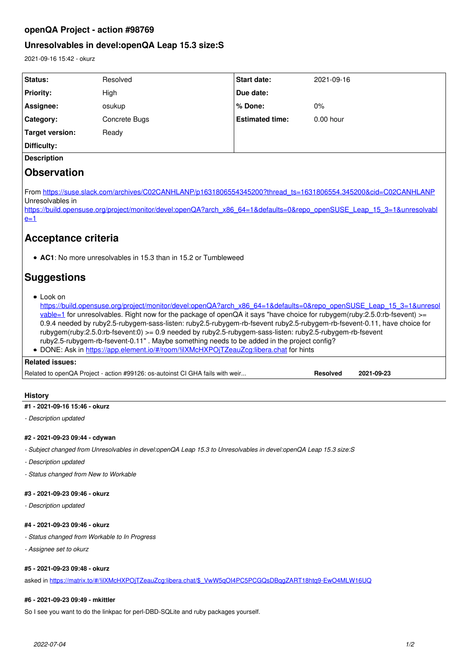# **openQA Project - action #98769**

# **Unresolvables in devel:openQA Leap 15.3 size:S**

2021-09-16 15:42 - okurz

| Status:                                                                                                                                                                                                                                                                                                                                                                                                                                                                                                                                                                                                                                                                                         | Resolved                                                                      | Start date:            | 2021-09-16      |            |
|-------------------------------------------------------------------------------------------------------------------------------------------------------------------------------------------------------------------------------------------------------------------------------------------------------------------------------------------------------------------------------------------------------------------------------------------------------------------------------------------------------------------------------------------------------------------------------------------------------------------------------------------------------------------------------------------------|-------------------------------------------------------------------------------|------------------------|-----------------|------------|
| Priority:                                                                                                                                                                                                                                                                                                                                                                                                                                                                                                                                                                                                                                                                                       | High                                                                          | Due date:              |                 |            |
| Assignee:                                                                                                                                                                                                                                                                                                                                                                                                                                                                                                                                                                                                                                                                                       | osukup                                                                        | % Done:                | 0%              |            |
| Category:                                                                                                                                                                                                                                                                                                                                                                                                                                                                                                                                                                                                                                                                                       | Concrete Bugs                                                                 | <b>Estimated time:</b> | $0.00$ hour     |            |
| <b>Target version:</b>                                                                                                                                                                                                                                                                                                                                                                                                                                                                                                                                                                                                                                                                          | Ready                                                                         |                        |                 |            |
| Difficulty:                                                                                                                                                                                                                                                                                                                                                                                                                                                                                                                                                                                                                                                                                     |                                                                               |                        |                 |            |
| <b>Description</b>                                                                                                                                                                                                                                                                                                                                                                                                                                                                                                                                                                                                                                                                              |                                                                               |                        |                 |            |
| <b>Observation</b>                                                                                                                                                                                                                                                                                                                                                                                                                                                                                                                                                                                                                                                                              |                                                                               |                        |                 |            |
| From https://suse.slack.com/archives/C02CANHLANP/p1631806554345200?thread ts=1631806554.345200&cid=C02CANHLANP<br>Unresolvables in<br>https://build.opensuse.org/project/monitor/devel:openQA?arch x86 64=1&defaults=0&repo openSUSE Leap 15 3=1&unresolvabl<br>$e=1$<br>Acceptance criteria<br>• AC1: No more unresolvables in 15.3 than in 15.2 or Tumbleweed<br><b>Suggestions</b>                                                                                                                                                                                                                                                                                                           |                                                                               |                        |                 |            |
| • Look on<br>https://build.opensuse.org/project/monitor/devel:openQA?arch_x86_64=1&defaults=0&repo_openSUSE_Leap_15_3=1&unresol<br>$vable=1$ for unresolvables. Right now for the package of openQA it says "have choice for rubygem(ruby:2.5.0:rb-fsevent) >=<br>0.9.4 needed by ruby2.5-rubygem-sass-listen: ruby2.5-rubygem-rb-fsevent ruby2.5-rubygem-rb-fsevent-0.11, have choice for<br>rubygem(ruby:2.5.0:rb-fsevent:0) >= 0.9 needed by ruby2.5-rubygem-sass-listen: ruby2.5-rubygem-rb-fsevent<br>ruby2.5-rubygem-rb-fsevent-0.11". Maybe something needs to be added in the project config?<br>. DONE: Ask in https://app.element.jo/#/room/lilXMcHXPOiTZeauZcg:libera.chat for hints |                                                                               |                        |                 |            |
| <b>Related issues:</b>                                                                                                                                                                                                                                                                                                                                                                                                                                                                                                                                                                                                                                                                          |                                                                               |                        |                 |            |
|                                                                                                                                                                                                                                                                                                                                                                                                                                                                                                                                                                                                                                                                                                 | Related to openQA Project - action #99126: os-autoinst CI GHA fails with weir |                        | <b>Resolved</b> | 2021-09-23 |
|                                                                                                                                                                                                                                                                                                                                                                                                                                                                                                                                                                                                                                                                                                 |                                                                               |                        |                 |            |

## **History**

# **#1 - 2021-09-16 15:46 - okurz**

*- Description updated*

## **#2 - 2021-09-23 09:44 - cdywan**

*- Subject changed from Unresolvables in devel:openQA Leap 15.3 to Unresolvables in devel:openQA Leap 15.3 size:S*

- *Description updated*
- *Status changed from New to Workable*

# **#3 - 2021-09-23 09:46 - okurz**

*- Description updated*

# **#4 - 2021-09-23 09:46 - okurz**

- *Status changed from Workable to In Progress*
- *Assignee set to okurz*

### **#5 - 2021-09-23 09:48 - okurz**

asked in [https://matrix.to/#/!ilXMcHXPOjTZeauZcg:libera.chat/\\$\\_VwW5qOI4PC5PCGQsDBqgZART18htq9-EwO4MLW16UQ](https://matrix.to/#/!ilXMcHXPOjTZeauZcg:libera.chat/%24_VwW5qOI4PC5PCGQsDBqgZART18htq9-EwO4MLW16UQ)

### **#6 - 2021-09-23 09:49 - mkittler**

So I see you want to do the linkpac for perl-DBD-SQLite and ruby packages yourself.